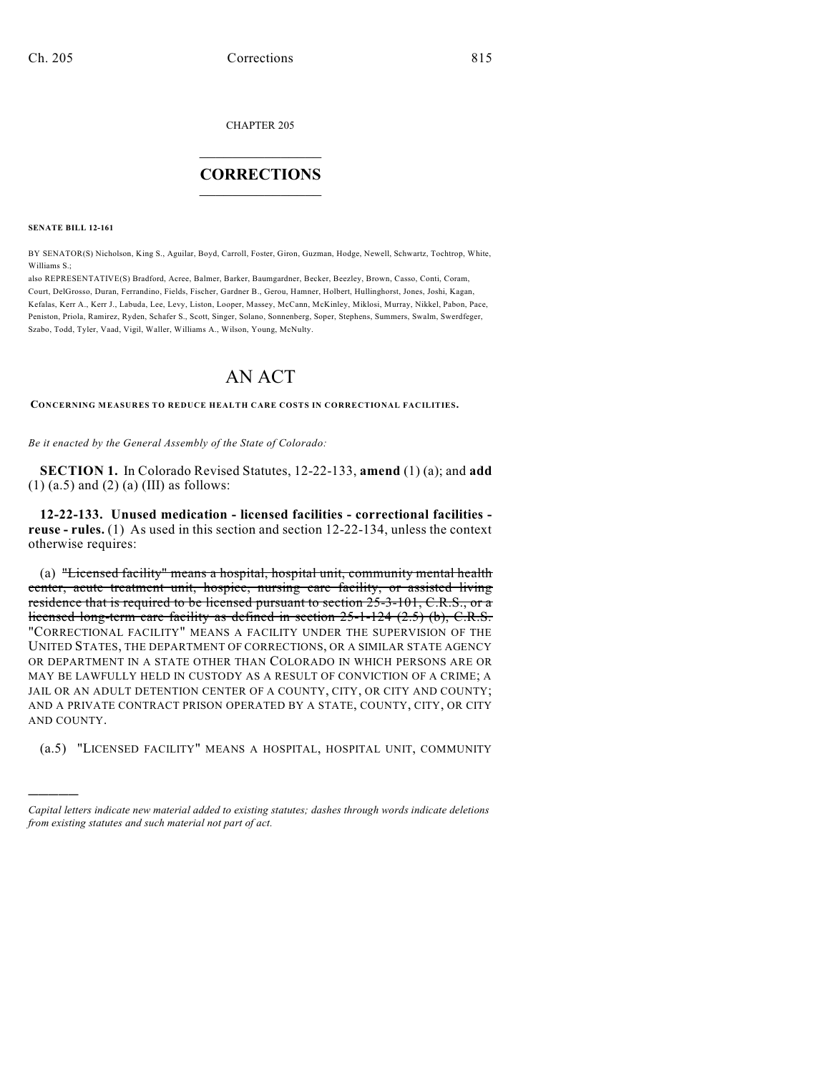CHAPTER 205

## $\overline{\phantom{a}}$  . The set of the set of the set of the set of the set of the set of the set of the set of the set of the set of the set of the set of the set of the set of the set of the set of the set of the set of the set o **CORRECTIONS**  $\frac{1}{2}$  ,  $\frac{1}{2}$  ,  $\frac{1}{2}$  ,  $\frac{1}{2}$  ,  $\frac{1}{2}$  ,  $\frac{1}{2}$

**SENATE BILL 12-161**

)))))

BY SENATOR(S) Nicholson, King S., Aguilar, Boyd, Carroll, Foster, Giron, Guzman, Hodge, Newell, Schwartz, Tochtrop, White, Williams S.;

also REPRESENTATIVE(S) Bradford, Acree, Balmer, Barker, Baumgardner, Becker, Beezley, Brown, Casso, Conti, Coram, Court, DelGrosso, Duran, Ferrandino, Fields, Fischer, Gardner B., Gerou, Hamner, Holbert, Hullinghorst, Jones, Joshi, Kagan, Kefalas, Kerr A., Kerr J., Labuda, Lee, Levy, Liston, Looper, Massey, McCann, McKinley, Miklosi, Murray, Nikkel, Pabon, Pace, Peniston, Priola, Ramirez, Ryden, Schafer S., Scott, Singer, Solano, Sonnenberg, Soper, Stephens, Summers, Swalm, Swerdfeger, Szabo, Todd, Tyler, Vaad, Vigil, Waller, Williams A., Wilson, Young, McNulty.

## AN ACT

**CONCERNING MEASURES TO REDUCE HEALTH CARE COSTS IN CORRECTIONAL FACILITIES.**

*Be it enacted by the General Assembly of the State of Colorado:*

**SECTION 1.** In Colorado Revised Statutes, 12-22-133, **amend** (1) (a); and **add**  $(1)$   $(a.5)$  and  $(2)$   $(a)$   $(III)$  as follows:

**12-22-133. Unused medication - licensed facilities - correctional facilities reuse - rules.** (1) As used in this section and section 12-22-134, unless the context otherwise requires:

(a) "Licensed facility" means a hospital, hospital unit, community mental health center, acute treatment unit, hospice, nursing care facility, or assisted living residence that is required to be licensed pursuant to section 25-3-101, C.R.S., or a licensed long-term care facility as defined in section 25-1-124 (2.5) (b), C.R.S. "CORRECTIONAL FACILITY" MEANS A FACILITY UNDER THE SUPERVISION OF THE UNITED STATES, THE DEPARTMENT OF CORRECTIONS, OR A SIMILAR STATE AGENCY OR DEPARTMENT IN A STATE OTHER THAN COLORADO IN WHICH PERSONS ARE OR MAY BE LAWFULLY HELD IN CUSTODY AS A RESULT OF CONVICTION OF A CRIME; A JAIL OR AN ADULT DETENTION CENTER OF A COUNTY, CITY, OR CITY AND COUNTY; AND A PRIVATE CONTRACT PRISON OPERATED BY A STATE, COUNTY, CITY, OR CITY AND COUNTY.

(a.5) "LICENSED FACILITY" MEANS A HOSPITAL, HOSPITAL UNIT, COMMUNITY

*Capital letters indicate new material added to existing statutes; dashes through words indicate deletions from existing statutes and such material not part of act.*